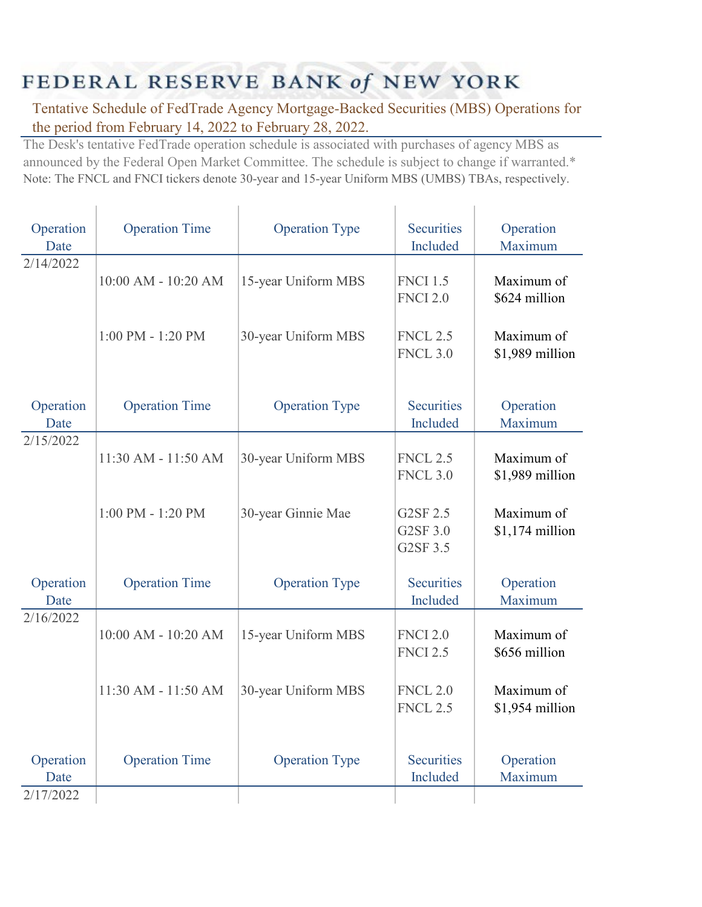## FEDERAL RESERVE BANK of NEW YORK

Y.

Î.

Tentative Schedule of FedTrade Agency Mortgage-Backed Securities (MBS) Operations for the period from February 14, 2022 to February 28, 2022.

The Desk's tentative FedTrade operation schedule is associated with purchases of agency MBS as announced by the Federal Open Market Committee. The schedule is subject to change if warranted.\* Note: The FNCL and FNCI tickers denote 30-year and 15-year Uniform MBS (UMBS) TBAs, respectively.

| Operation<br>Date              | <b>Operation Time</b> | <b>Operation Type</b> | <b>Securities</b><br>Included      | Operation<br>Maximum           |
|--------------------------------|-----------------------|-----------------------|------------------------------------|--------------------------------|
| 2/14/2022                      | 10:00 AM - 10:20 AM   | 15-year Uniform MBS   | <b>FNCI 1.5</b><br><b>FNCI 2.0</b> | Maximum of<br>\$624 million    |
|                                | $1:00$ PM - $1:20$ PM | 30-year Uniform MBS   | <b>FNCL 2.5</b><br><b>FNCL 3.0</b> | Maximum of<br>\$1,989 million  |
| Operation<br>Date              | <b>Operation Time</b> | <b>Operation Type</b> | <b>Securities</b><br>Included      | Operation<br>Maximum           |
| 2/15/2022                      | 11:30 AM - 11:50 AM   | 30-year Uniform MBS   | <b>FNCL 2.5</b><br><b>FNCL 3.0</b> | Maximum of<br>\$1,989 million  |
|                                | 1:00 PM - 1:20 PM     | 30-year Ginnie Mae    | G2SF 2.5<br>G2SF 3.0<br>G2SF 3.5   | Maximum of<br>$$1,174$ million |
| Operation<br>Date              | <b>Operation Time</b> | <b>Operation Type</b> | <b>Securities</b><br>Included      | Operation<br>Maximum           |
| 2/16/2022                      | 10:00 AM - 10:20 AM   | 15-year Uniform MBS   | <b>FNCI 2.0</b><br><b>FNCI 2.5</b> | Maximum of<br>\$656 million    |
|                                | 11:30 AM - 11:50 AM   | 30-year Uniform MBS   | <b>FNCL 2.0</b><br><b>FNCL 2.5</b> | Maximum of<br>\$1,954 million  |
| Operation<br>Date<br>2/17/2022 | <b>Operation Time</b> | <b>Operation Type</b> | <b>Securities</b><br>Included      | Operation<br>Maximum           |
|                                |                       |                       |                                    |                                |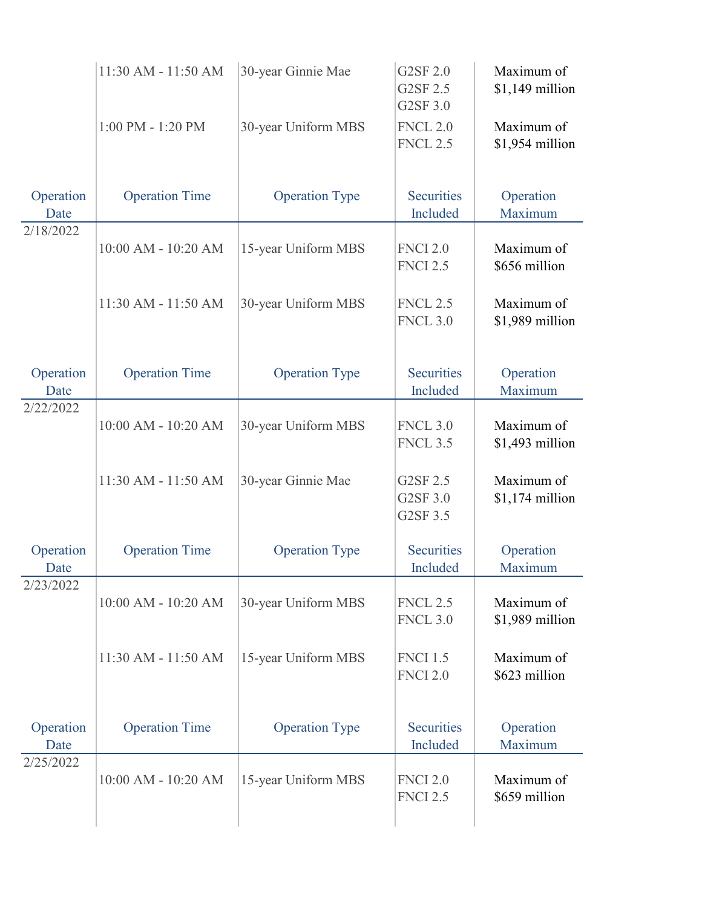|                   | 11:30 AM - 11:50 AM   | 30-year Ginnie Mae    | G2SF 2.0<br>G2SF 2.5<br>G2SF 3.0   | Maximum of<br>\$1,149 million  |
|-------------------|-----------------------|-----------------------|------------------------------------|--------------------------------|
|                   | $1:00$ PM - $1:20$ PM | 30-year Uniform MBS   | <b>FNCL 2.0</b><br><b>FNCL 2.5</b> | Maximum of<br>\$1,954 million  |
| Operation<br>Date | <b>Operation Time</b> | <b>Operation Type</b> | <b>Securities</b><br>Included      | Operation<br>Maximum           |
| 2/18/2022         | 10:00 AM - 10:20 AM   | 15-year Uniform MBS   | <b>FNCI 2.0</b><br><b>FNCI 2.5</b> | Maximum of<br>\$656 million    |
|                   | 11:30 AM - 11:50 AM   | 30-year Uniform MBS   | <b>FNCL 2.5</b><br><b>FNCL 3.0</b> | Maximum of<br>\$1,989 million  |
| Operation<br>Date | <b>Operation Time</b> | <b>Operation Type</b> | <b>Securities</b><br>Included      | Operation<br>Maximum           |
| 2/22/2022         | 10:00 AM - 10:20 AM   | 30-year Uniform MBS   | <b>FNCL 3.0</b><br><b>FNCL 3.5</b> | Maximum of<br>\$1,493 million  |
|                   | 11:30 AM - 11:50 AM   | 30-year Ginnie Mae    | G2SF 2.5<br>G2SF 3.0<br>G2SF 3.5   | Maximum of<br>$$1,174$ million |
| Operation<br>Date | <b>Operation Time</b> | <b>Operation Type</b> | <b>Securities</b><br>Included      | Operation<br>Maximum           |
| 2/23/2022         | 10:00 AM - 10:20 AM   | 30-year Uniform MBS   | <b>FNCL 2.5</b><br><b>FNCL 3.0</b> | Maximum of<br>\$1,989 million  |
|                   | 11:30 AM - 11:50 AM   | 15-year Uniform MBS   | <b>FNCI 1.5</b><br><b>FNCI 2.0</b> | Maximum of<br>\$623 million    |
| Operation<br>Date | <b>Operation Time</b> | <b>Operation Type</b> | <b>Securities</b><br>Included      | Operation<br>Maximum           |
| 2/25/2022         | 10:00 AM - 10:20 AM   | 15-year Uniform MBS   | <b>FNCI 2.0</b><br><b>FNCI 2.5</b> | Maximum of<br>\$659 million    |